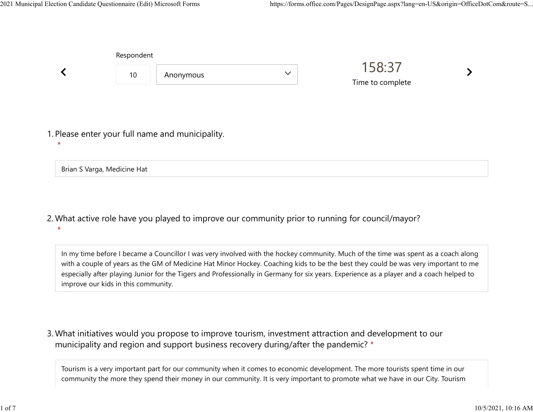|         | Respondent                  |                                                  |              |                            |  |
|---------|-----------------------------|--------------------------------------------------|--------------|----------------------------|--|
|         | 10                          | Anonymous                                        | $\checkmark$ | 158:37<br>Time to complete |  |
| $\star$ |                             | 1. Please enter your full name and municipality. |              |                            |  |
|         | Brian S Varga, Medicine Hat |                                                  |              |                            |  |

What active role have you played to improve our community prior to running for council/mayor? 2. \*

In my time before I became a Councillor I was very involved with the hockey community. Much of the time was spent as a coach along with a couple of years as the GM of Medicine Hat Minor Hockey. Coaching kids to be the best they could be was very important to me especially after playing Junior for the Tigers and Professionally in Germany for six years. Experience as a player and a coach helped to improve our kids in this community.

What initiatives would you propose to improve tourism, investment attraction and development to our 3. municipality and region and support business recovery during/after the pandemic? \*

Tourism is a very important part for our community when it comes to economic development. The more tourists spent time in our community the more they spend their money in our community. It is very important to promote what we have in our City. Tourism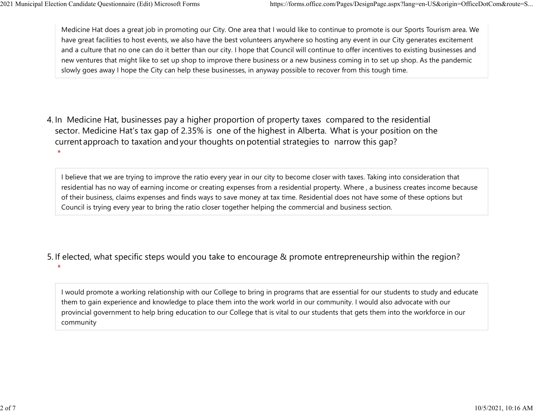Medicine Hat does a great job in promoting our City. One area that I would like to continue to promote is our Sports Tourism area. We have great facilities to host events, we also have the best volunteers anywhere so hosting any event in our City generates excitement and a culture that no one can do it better than our city. I hope that Council will continue to offer incentives to existing businesses and new ventures that might like to set up shop to improve there business or a new business coming in to set up shop. As the pandemic slowly goes away I hope the City can help these businesses, in anyway possible to recover from this tough time. 2021 Municipal Election Candidate Questionnaire (Edit) Microsoft Forms https://forms.office.com/Pages/DesignPage.aspx?lang=en-US&origin=OfficeDotCom&route=S...<br>Medicine Hat does a great job in promoting our City. One area

4. In Medicine Hat, businesses pay a higher proportion of property taxes compared to the residential sector.  Medicine Hat's tax gap of 2.35% is one of the highest in Alberta.  What is your position on the current approach to taxation and your thoughts on potential strategies to narrow this gap? \*

I believe that we are trying to improve the ratio every year in our city to become closer with taxes. Taking into consideration that residential has no way of earning income or creating expenses from a residential property. Where , a business creates income because of their business, claims expenses and finds ways to save money at tax time. Residential does not have some of these options but Council is trying every year to bring the ratio closer together helping the commercial and business section.

- 5. If elected, what specific steps would you take to encourage & promote entrepreneurship within the region?
	- I would promote a working relationship with our College to bring in programs that are essential for our students to study and educate them to gain experience and knowledge to place them into the work world in our community. I would also advocate with our provincial government to help bring education to our College that is vital to our students that gets them into the workforce in our community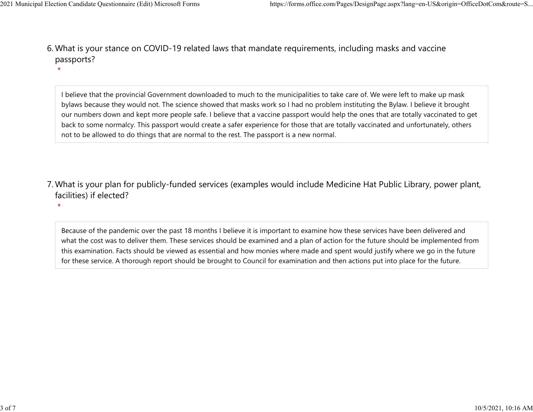What is your stance on COVID-19 related laws that mandate requirements, including masks and vaccine 6. passports? 2021 Municipal Election Candidate Questionnaire (Edit) Microsoft Forms https://forms.office.com/Pages/DesignPage.aspx?lang=en-US&origin=OfficeDotCom&route=S...<br>6 Mhat is vour stance on COVID-19 related laws that mandate re

> I believe that the provincial Government downloaded to much to the municipalities to take care of. We were left to make up mask bylaws because they would not. The science showed that masks work so I had no problem instituting the Bylaw. I believe it brought our numbers down and kept more people safe. I believe that a vaccine passport would help the ones that are totally vaccinated to get back to some normalcy. This passport would create a safer experience for those that are totally vaccinated and unfortunately, others not to be allowed to do things that are normal to the rest. The passport is a new normal.

What is your plan for publicly-funded services (examples would include Medicine Hat Public Library, power plant, 7. facilities) if elected?

 $\star$ 

Because of the pandemic over the past 18 months I believe it is important to examine how these services have been delivered and what the cost was to deliver them. These services should be examined and a plan of action for the future should be implemented from this examination. Facts should be viewed as essential and how monies where made and spent would justify where we go in the future for these service. A thorough report should be brought to Council for examination and then actions put into place for the future.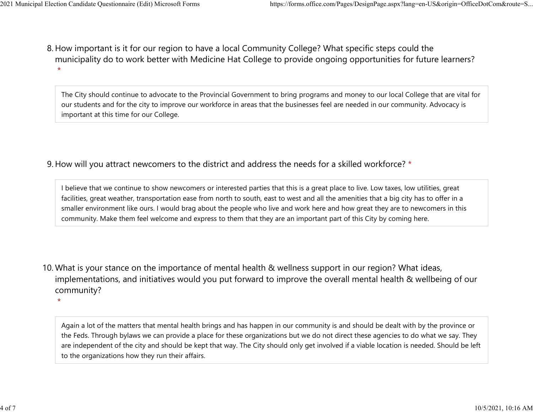8. How important is it for our region to have a local Community College? What specific steps could the municipality do to work better with Medicine Hat College to provide ongoing opportunities for future learners?  $\star$ 2021 Municipal Election Candidate Questionnaire (Edit) Microsoft Forms https://forms.office.com/Pages/DesignPage.aspx?lang=en-US&origin=OfficeDotCom&route=S...<br>8 How important is it for our region to baye a local Community

> The City should continue to advocate to the Provincial Government to bring programs and money to our local College that are vital for our students and for the city to improve our workforce in areas that the businesses feel are needed in our community. Advocacy is important at this time for our College.

9. How will you attract newcomers to the district and address the needs for a skilled workforce? \*

I believe that we continue to show newcomers or interested parties that this is a great place to live. Low taxes, low utilities, great facilities, great weather, transportation ease from north to south, east to west and all the amenities that a big city has to offer in a smaller environment like ours. I would brag about the people who live and work here and how great they are to newcomers in this community. Make them feel welcome and express to them that they are an important part of this City by coming here.

10. What is your stance on the importance of mental health & wellness support in our region? What ideas, implementations, and initiatives would you put forward to improve the overall mental health & wellbeing of our community?

 $\star$ 

Again a lot of the matters that mental health brings and has happen in our community is and should be dealt with by the province or the Feds. Through bylaws we can provide a place for these organizations but we do not direct these agencies to do what we say. They are independent of the city and should be kept that way. The City should only get involved if a viable location is needed. Should be left to the organizations how they run their affairs.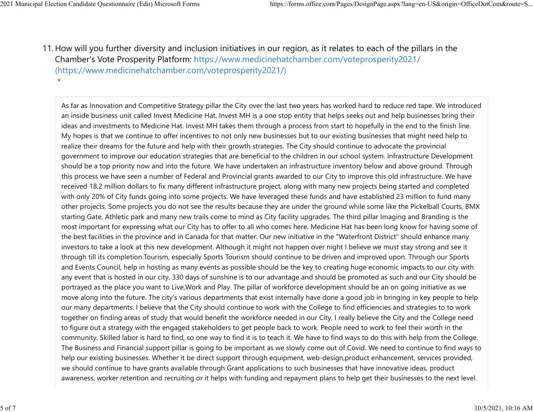11. How will you further diversity and inclusion initiatives in our region, as it relates to each of the pillars in the Chamber's Vote Prosperity Platform: https://www.medicinehatchamber.com/voteprosperity2021/ (https://www.medicinehatchamber.com/voteprosperity2021/) 2021 Municipal Election Candidate Questionnaire (Edit) Microsoft Forms https://forms.office.com/Pages/DesignPage.aspx?lang=en-US&origin=OfficeDotCom&route=S...<br>11 How will you further diversity and inclusion initiatives in

> As far as Innovation and Competitive Strategy pillar the City over the last two years has worked hard to reduce red tape. We introduced an inside business unit called Invest Medicine Hat. Invest MH is a one stop entity that helps seeks out and help businesses bring their ideas and investments to Medicine Hat. Invest MH takes them through a process from start to hopefully in the end to the finish line. My hopes is that we continue to offer incentives to not only new businesses but to our existing businesses that might need help to realize their dreams for the future and help with their growth strategies. The City should continue to advocate the provincial government to improve our education strategies that are beneficial to the children in our school system. Infrastructure Development should be a top priority now and into the future. We have undertaken an infrastructure inventory below and above ground. Through this process we have seen a number of Federal and Provincial grants awarded to our City to improve this old infrastructure. We have received 18.2 million dollars to fix many different infrastructure project, along with many new projects being started and completed with only 20% of City funds going into some projects. We have leveraged these funds and have established 23 million to fund many other projects. Some projects you do not see the results because they are under the ground while some like the Pickelball Courts, BMX starting Gate, Athletic park and many new trails come to mind as City facility upgrades. The third pillar Imaging and Branding is the most important for expressing what our City has to offer to all who comes here. Medicine Hat has been long know for having some of the best facilities in the province and in Canada for that matter. Our new initiative in the "Waterfront District" should enhance many investors to take a look at this new development. Although it might not happen over night I believe we must stay strong and see it through till its completion.Tourism, especially Sports Tourism should continue to be driven and improved upon. Through our Sports and Events Council, help in hosting as many events as possible should be the key to creating huge economic impacts to our city with any event that is hosted in our city. 330 days of sunshine is to our advantage and should be promoted as such and our City should be portrayed as the place you want to Live,Work and Play. The pillar of workforce development should be an on going initiative as we move along into the future. The city's various departments that exist internally have done a good job in bringing in key people to help our many departments. I believe that the City should continue to work with the College to find efficiencies and strategies to to work together on finding areas of study that would benefit the workforce needed in our City. I really believe the City and the College need to figure out a strategy with the engaged stakeholders to get people back to work. People need to work to feel their worth in the community. Skilled labor is hard to find, so one way to find it is to teach it. We have to find ways to do this with help from the College. The Business and Financial support pillar is going to be important as we slowly come out of Covid. We need to continue to find ways to help our existing businesses. Whether it be direct support through equipment, web-design,product enhancement, services provided, we should continue to have grants available through Grant applications to such businesses that have innovative ideas, product awareness, worker retention and recruiting or it helps with funding and repayment plans to help get their businesses to the next level.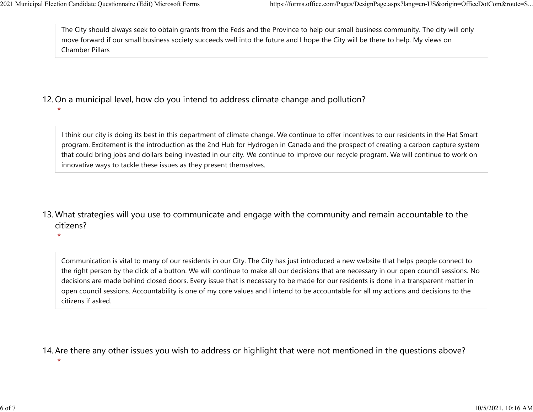The City should always seek to obtain grants from the Feds and the Province to help our small business community. The city will only move forward if our small business society succeeds well into the future and I hope the City will be there to help. My views on Chamber Pillars 2021 Municipal Election Candidate Questionnaire (Edit) Microsoft Forms https://forms.office.com/Pages/DesignPage.aspx?lang=en-US&origin=OfficeDotCom&route=S...<br>The City should always seek to obtain grants from the Feds and

## 12. On a municipal level, how do you intend to address climate change and pollution?

I think our city is doing its best in this department of climate change. We continue to offer incentives to our residents in the Hat Smart program. Excitement is the introduction as the 2nd Hub for Hydrogen in Canada and the prospect of creating a carbon capture system that could bring jobs and dollars being invested in our city. We continue to improve our recycle program. We will continue to work on innovative ways to tackle these issues as they present themselves.

13. What strategies will you use to communicate and engage with the community and remain accountable to the citizens?

 $\star$ 

Communication is vital to many of our residents in our City. The City has just introduced a new website that helps people connect to the right person by the click of a button. We will continue to make all our decisions that are necessary in our open council sessions. No decisions are made behind closed doors. Every issue that is necessary to be made for our residents is done in a transparent matter in open council sessions. Accountability is one of my core values and I intend to be accountable for all my actions and decisions to the citizens if asked.

14. Are there any other issues you wish to address or highlight that were not mentioned in the questions above?

 $\star$